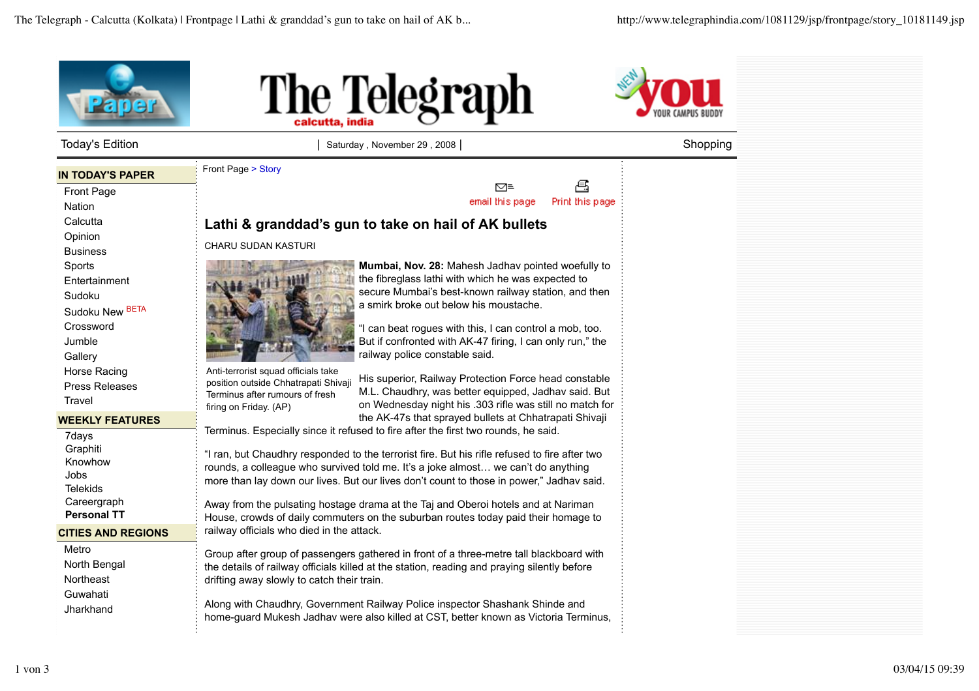